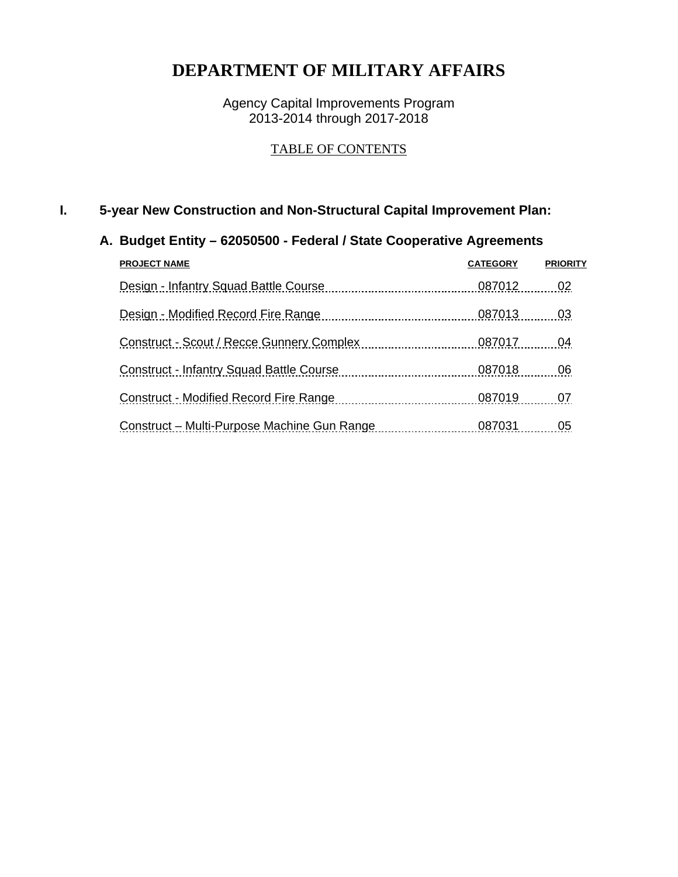### **DEPARTMENT OF MILITARY AFFAIRS**

Agency Capital Improvements Program 2013-2014 through 2017-2018

### TABLE OF CONTENTS

### **I. 5-year New Construction and Non-Structural Capital Improvement Plan:**

### **A. Budget Entity – 62050500 - Federal / State Cooperative Agreements**

| <b>PROJECT NAME</b>                             | <b>CATEGORY</b> | <b>PRIORITY</b> |
|-------------------------------------------------|-----------------|-----------------|
| Design - Infantry Squad Battle Course           | 087012          | 02              |
| Design - Modified Record Fire Range             | 087013          | 03              |
| Construct - Scout / Recce Gunnery Complex       | 087017          | 04              |
| <b>Construct - Infantry Squad Battle Course</b> | 087018          | 06              |
| <b>Construct - Modified Record Fire Range</b>   | 087019          | 07              |
| Construct – Multi-Purpose Machine Gun Range     | 087031          | 05              |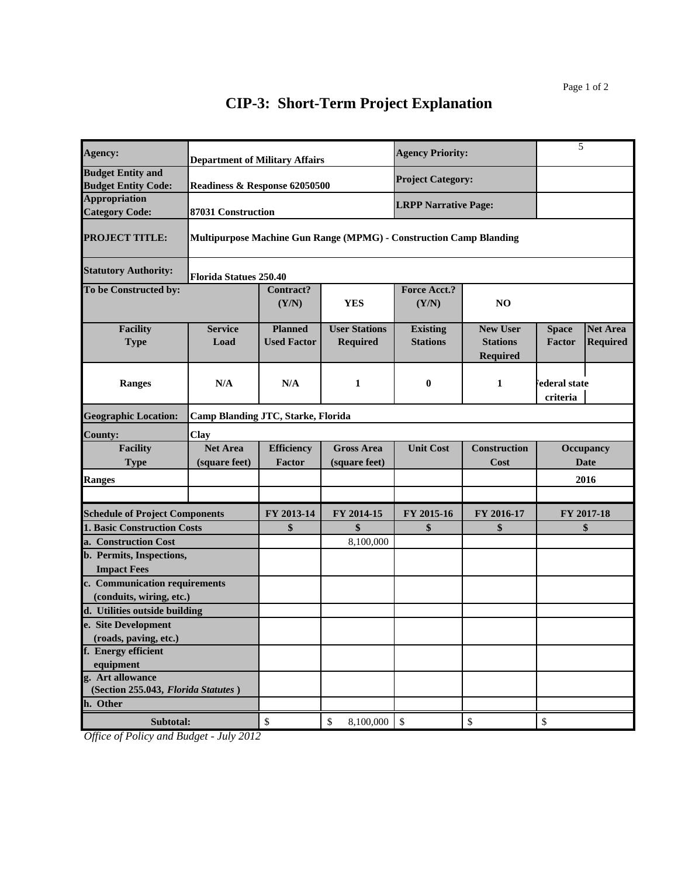| Agency:                                                   | <b>Department of Military Affairs</b> |                                      |                                                                           | <b>Agency Priority:</b>            |                                                       | 5                         |                                    |
|-----------------------------------------------------------|---------------------------------------|--------------------------------------|---------------------------------------------------------------------------|------------------------------------|-------------------------------------------------------|---------------------------|------------------------------------|
| <b>Budget Entity and</b><br><b>Budget Entity Code:</b>    | Readiness & Response 62050500         |                                      |                                                                           | <b>Project Category:</b>           |                                                       |                           |                                    |
| <b>Appropriation</b><br><b>Category Code:</b>             | 87031 Construction                    |                                      |                                                                           | <b>LRPP Narrative Page:</b>        |                                                       |                           |                                    |
| <b>PROJECT TITLE:</b>                                     |                                       |                                      | <b>Multipurpose Machine Gun Range (MPMG) - Construction Camp Blanding</b> |                                    |                                                       |                           |                                    |
| <b>Statutory Authority:</b>                               | <b>Florida Statues 250.40</b>         |                                      |                                                                           |                                    |                                                       |                           |                                    |
| To be Constructed by:                                     |                                       | Contract?<br>(Y/N)                   | <b>YES</b>                                                                | <b>Force Acct.?</b><br>(Y/N)       | N <sub>O</sub>                                        |                           |                                    |
| <b>Facility</b><br><b>Type</b>                            | <b>Service</b><br>Load                | <b>Planned</b><br><b>Used Factor</b> | <b>User Stations</b><br><b>Required</b>                                   | <b>Existing</b><br><b>Stations</b> | <b>New User</b><br><b>Stations</b><br><b>Required</b> | <b>Space</b><br>Factor    | <b>Net Area</b><br><b>Required</b> |
| <b>Ranges</b>                                             | N/A                                   | N/A                                  | 1                                                                         | $\boldsymbol{0}$                   | 1                                                     | ederal state<br>criteria  |                                    |
| <b>Geographic Location:</b>                               | Camp Blanding JTC, Starke, Florida    |                                      |                                                                           |                                    |                                                       |                           |                                    |
| <b>County:</b>                                            | Clay                                  |                                      |                                                                           |                                    |                                                       |                           |                                    |
| <b>Facility</b><br><b>Type</b>                            | <b>Net Area</b><br>(square feet)      | <b>Efficiency</b><br>Factor          | <b>Gross Area</b><br>(square feet)                                        | <b>Unit Cost</b>                   | <b>Construction</b><br>Cost                           |                           | Occupancy<br><b>Date</b>           |
| <b>Ranges</b>                                             |                                       |                                      |                                                                           |                                    |                                                       |                           | 2016                               |
|                                                           |                                       |                                      |                                                                           |                                    |                                                       |                           |                                    |
| <b>Schedule of Project Components</b>                     |                                       | FY 2013-14                           | FY 2014-15                                                                | FY 2015-16                         | FY 2016-17                                            |                           | FY 2017-18                         |
| <b>1. Basic Construction Costs</b>                        |                                       | \$                                   | \$                                                                        | \$                                 | \$                                                    |                           | \$                                 |
| a. Construction Cost                                      |                                       |                                      | 8,100,000                                                                 |                                    |                                                       |                           |                                    |
| b. Permits, Inspections,<br><b>Impact Fees</b>            |                                       |                                      |                                                                           |                                    |                                                       |                           |                                    |
| c. Communication requirements<br>(conduits, wiring, etc.) |                                       |                                      |                                                                           |                                    |                                                       |                           |                                    |
| d. Utilities outside building                             |                                       |                                      |                                                                           |                                    |                                                       |                           |                                    |
| e. Site Development                                       |                                       |                                      |                                                                           |                                    |                                                       |                           |                                    |
| (roads, paving, etc.)                                     |                                       |                                      |                                                                           |                                    |                                                       |                           |                                    |
| f. Energy efficient                                       |                                       |                                      |                                                                           |                                    |                                                       |                           |                                    |
| equipment<br>g. Art allowance                             |                                       |                                      |                                                                           |                                    |                                                       |                           |                                    |
| (Section 255.043, Florida Statutes)                       |                                       |                                      |                                                                           |                                    |                                                       |                           |                                    |
| h. Other                                                  |                                       |                                      |                                                                           |                                    |                                                       |                           |                                    |
| Subtotal:                                                 |                                       | \$                                   | \$<br>8,100,000                                                           | $\boldsymbol{\mathsf{S}}$          | $\mathbb{S}$                                          | $\boldsymbol{\mathsf{S}}$ |                                    |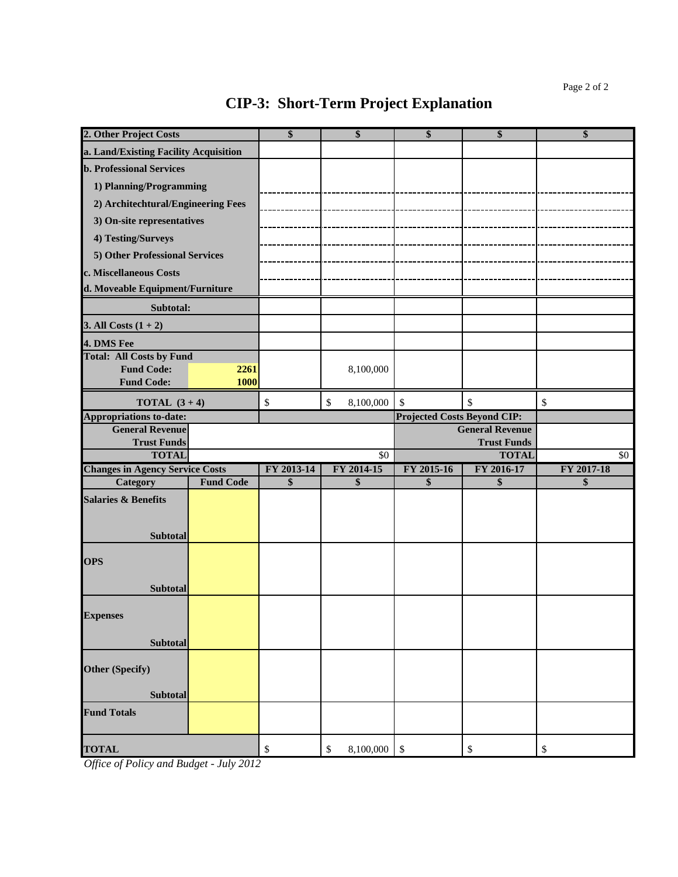| 2. Other Project Costs                 |                  | \$         | \$              | \$                                 | \$                     | \$         |
|----------------------------------------|------------------|------------|-----------------|------------------------------------|------------------------|------------|
| a. Land/Existing Facility Acquisition  |                  |            |                 |                                    |                        |            |
| <b>b. Professional Services</b>        |                  |            |                 |                                    |                        |            |
| 1) Planning/Programming                |                  |            |                 |                                    |                        |            |
| 2) Architechtural/Engineering Fees     |                  |            |                 |                                    |                        |            |
| 3) On-site representatives             |                  |            |                 |                                    |                        |            |
| 4) Testing/Surveys                     |                  |            |                 |                                    |                        |            |
| 5) Other Professional Services         |                  |            |                 |                                    |                        |            |
| c. Miscellaneous Costs                 |                  |            |                 |                                    |                        |            |
| d. Moveable Equipment/Furniture        |                  |            |                 |                                    |                        |            |
| Subtotal:                              |                  |            |                 |                                    |                        |            |
| 3. All Costs $(1 + 2)$                 |                  |            |                 |                                    |                        |            |
| 4. DMS Fee                             |                  |            |                 |                                    |                        |            |
| <b>Total: All Costs by Fund</b>        |                  |            |                 |                                    |                        |            |
| <b>Fund Code:</b>                      | 2261             |            | 8,100,000       |                                    |                        |            |
| <b>Fund Code:</b>                      | 1000             |            |                 |                                    |                        |            |
| <b>TOTAL</b> $(3+4)$                   |                  | \$         | 8,100,000<br>\$ | \$                                 | \$                     | \$         |
| <b>Appropriations to-date:</b>         |                  |            |                 | <b>Projected Costs Beyond CIP:</b> |                        |            |
| <b>General Revenue</b>                 |                  |            |                 |                                    | <b>General Revenue</b> |            |
| <b>Trust Funds</b>                     |                  |            |                 |                                    | <b>Trust Funds</b>     |            |
| <b>TOTAL</b>                           |                  |            | $\overline{50}$ |                                    | <b>TOTAL</b>           | \$0        |
| <b>Changes in Agency Service Costs</b> | <b>Fund Code</b> | FY 2013-14 | FY 2014-15      | FY 2015-16                         | FY 2016-17             | FY 2017-18 |
| Category                               |                  | \$         | \$              | \$                                 | \$                     | \$         |
| <b>Salaries &amp; Benefits</b>         |                  |            |                 |                                    |                        |            |
|                                        |                  |            |                 |                                    |                        |            |
| <b>Subtotal</b>                        |                  |            |                 |                                    |                        |            |
| <b>OPS</b>                             |                  |            |                 |                                    |                        |            |
|                                        |                  |            |                 |                                    |                        |            |
| <b>Subtotal</b>                        |                  |            |                 |                                    |                        |            |
|                                        |                  |            |                 |                                    |                        |            |
| <b>Expenses</b>                        |                  |            |                 |                                    |                        |            |
| <b>Subtotal</b>                        |                  |            |                 |                                    |                        |            |
|                                        |                  |            |                 |                                    |                        |            |
| <b>Other (Specify)</b>                 |                  |            |                 |                                    |                        |            |
|                                        |                  |            |                 |                                    |                        |            |
| <b>Subtotal</b>                        |                  |            |                 |                                    |                        |            |
|                                        |                  |            |                 |                                    |                        |            |
| <b>Fund Totals</b>                     |                  |            |                 |                                    |                        |            |
| <b>TOTAL</b>                           |                  | \$         | 8,100,000<br>\$ | $\boldsymbol{\mathsf{S}}$          | \$                     | \$         |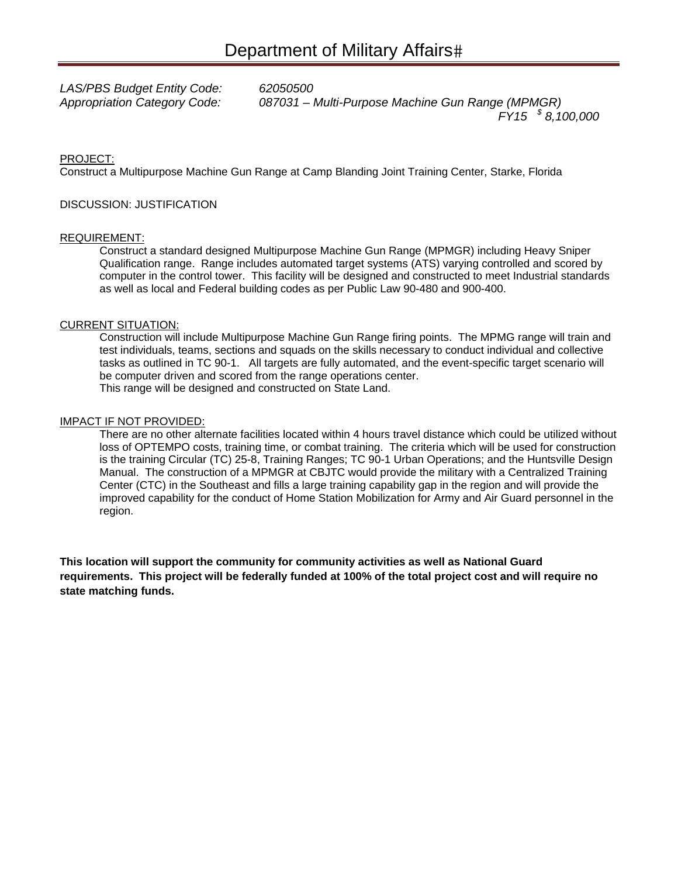*LAS/PBS Budget Entity Code: 62050500* 

*Appropriation Category Code: 087031 – Multi-Purpose Machine Gun Range (MPMGR) FY15 \$ 8,100,000* 

#### PROJECT:

Construct a Multipurpose Machine Gun Range at Camp Blanding Joint Training Center, Starke, Florida

#### DISCUSSION: JUSTIFICATION

#### REQUIREMENT:

Construct a standard designed Multipurpose Machine Gun Range (MPMGR) including Heavy Sniper Qualification range. Range includes automated target systems (ATS) varying controlled and scored by computer in the control tower. This facility will be designed and constructed to meet Industrial standards as well as local and Federal building codes as per Public Law 90-480 and 900-400.

#### CURRENT SITUATION:

Construction will include Multipurpose Machine Gun Range firing points. The MPMG range will train and test individuals, teams, sections and squads on the skills necessary to conduct individual and collective tasks as outlined in TC 90-1. All targets are fully automated, and the event-specific target scenario will be computer driven and scored from the range operations center. This range will be designed and constructed on State Land.

#### IMPACT IF NOT PROVIDED:

There are no other alternate facilities located within 4 hours travel distance which could be utilized without loss of OPTEMPO costs, training time, or combat training. The criteria which will be used for construction is the training Circular (TC) 25-8, Training Ranges; TC 90-1 Urban Operations; and the Huntsville Design Manual. The construction of a MPMGR at CBJTC would provide the military with a Centralized Training Center (CTC) in the Southeast and fills a large training capability gap in the region and will provide the improved capability for the conduct of Home Station Mobilization for Army and Air Guard personnel in the region.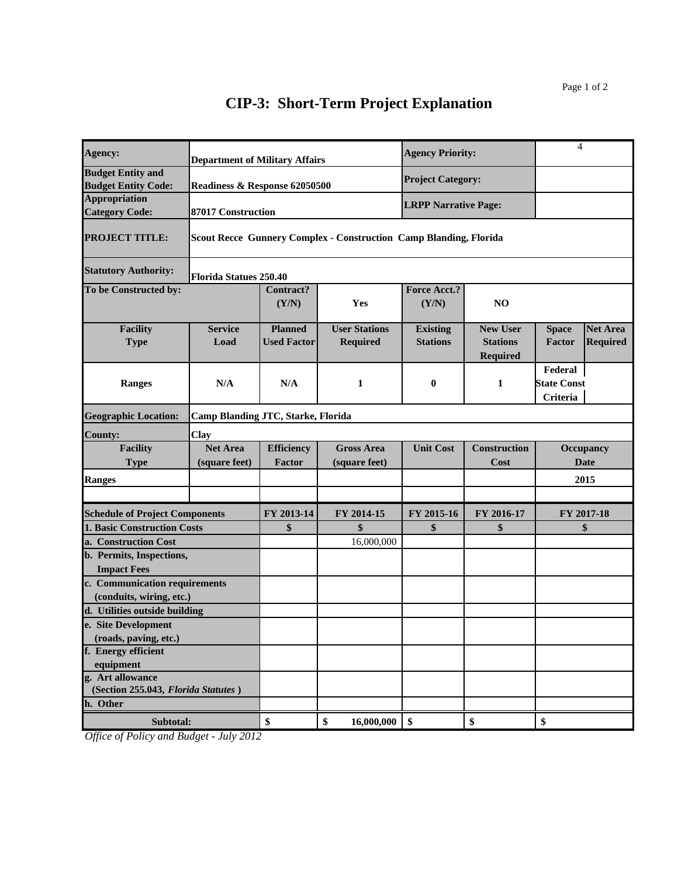| Agency:                                                | <b>Department of Military Affairs</b> |                                      |                                                                          | <b>Agency Priority:</b>            |                                                       | $\overline{4}$                            |                                    |
|--------------------------------------------------------|---------------------------------------|--------------------------------------|--------------------------------------------------------------------------|------------------------------------|-------------------------------------------------------|-------------------------------------------|------------------------------------|
| <b>Budget Entity and</b><br><b>Budget Entity Code:</b> | Readiness & Response 62050500         |                                      |                                                                          | <b>Project Category:</b>           |                                                       |                                           |                                    |
| <b>Appropriation</b><br><b>Category Code:</b>          | 87017 Construction                    |                                      |                                                                          | <b>LRPP Narrative Page:</b>        |                                                       |                                           |                                    |
| <b>PROJECT TITLE:</b>                                  |                                       |                                      | <b>Scout Recce Gunnery Complex - Construction Camp Blanding, Florida</b> |                                    |                                                       |                                           |                                    |
| <b>Statutory Authority:</b>                            | <b>Florida Statues 250.40</b>         |                                      |                                                                          |                                    |                                                       |                                           |                                    |
| To be Constructed by:                                  |                                       | <b>Contract?</b><br>(Y/N)            | Yes                                                                      | <b>Force Acct.?</b><br>(Y/N)       | N <sub>O</sub>                                        |                                           |                                    |
| <b>Facility</b><br><b>Type</b>                         | <b>Service</b><br>Load                | <b>Planned</b><br><b>Used Factor</b> | <b>User Stations</b><br><b>Required</b>                                  | <b>Existing</b><br><b>Stations</b> | <b>New User</b><br><b>Stations</b><br><b>Required</b> | <b>Space</b><br>Factor                    | <b>Net Area</b><br><b>Required</b> |
| Ranges                                                 | N/A                                   | N/A                                  | 1                                                                        | 0                                  | 1                                                     | Federal<br><b>State Const</b><br>Criteria |                                    |
| <b>Geographic Location:</b>                            | Camp Blanding JTC, Starke, Florida    |                                      |                                                                          |                                    |                                                       |                                           |                                    |
| <b>County:</b>                                         | Clay                                  |                                      |                                                                          |                                    |                                                       |                                           |                                    |
| <b>Facility</b><br><b>Type</b>                         | <b>Net Area</b><br>(square feet)      | <b>Efficiency</b><br>Factor          | <b>Gross Area</b><br>(square feet)                                       | <b>Unit Cost</b>                   | <b>Construction</b><br><b>Cost</b>                    | Occupancy                                 | <b>Date</b>                        |
| <b>Ranges</b>                                          |                                       |                                      |                                                                          |                                    |                                                       |                                           | 2015                               |
|                                                        |                                       |                                      |                                                                          |                                    |                                                       |                                           |                                    |
| <b>Schedule of Project Components</b>                  |                                       | FY 2013-14                           | FY 2014-15                                                               | FY 2015-16                         | FY 2016-17                                            | FY 2017-18                                |                                    |
| <b>1. Basic Construction Costs</b>                     |                                       | \$                                   | \$                                                                       | \$                                 | \$                                                    |                                           | \$                                 |
| a. Construction Cost                                   |                                       |                                      | 16,000,000                                                               |                                    |                                                       |                                           |                                    |
| b. Permits, Inspections,<br><b>Impact Fees</b>         |                                       |                                      |                                                                          |                                    |                                                       |                                           |                                    |
| c. Communication requirements                          |                                       |                                      |                                                                          |                                    |                                                       |                                           |                                    |
| (conduits, wiring, etc.)                               |                                       |                                      |                                                                          |                                    |                                                       |                                           |                                    |
| d. Utilities outside building                          |                                       |                                      |                                                                          |                                    |                                                       |                                           |                                    |
| e. Site Development                                    |                                       |                                      |                                                                          |                                    |                                                       |                                           |                                    |
| (roads, paving, etc.)                                  |                                       |                                      |                                                                          |                                    |                                                       |                                           |                                    |
| f. Energy efficient                                    |                                       |                                      |                                                                          |                                    |                                                       |                                           |                                    |
| equipment<br>g. Art allowance                          |                                       |                                      |                                                                          |                                    |                                                       |                                           |                                    |
| (Section 255.043, Florida Statutes)                    |                                       |                                      |                                                                          |                                    |                                                       |                                           |                                    |
| h. Other                                               |                                       |                                      |                                                                          |                                    |                                                       |                                           |                                    |
| Subtotal:                                              |                                       | \$                                   | \$<br>16,000,000                                                         | \$                                 | \$                                                    | \$                                        |                                    |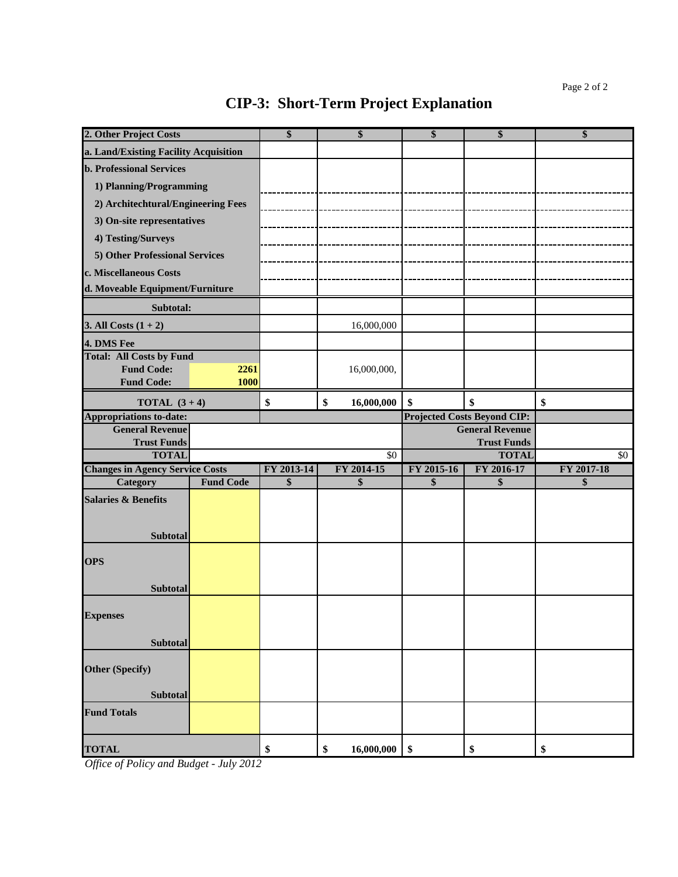| 2. Other Project Costs                       |                  | \$         | \$               | \$         | \$                                           | \$         |
|----------------------------------------------|------------------|------------|------------------|------------|----------------------------------------------|------------|
| a. Land/Existing Facility Acquisition        |                  |            |                  |            |                                              |            |
| <b>b. Professional Services</b>              |                  |            |                  |            |                                              |            |
| 1) Planning/Programming                      |                  |            |                  |            |                                              |            |
| 2) Architechtural/Engineering Fees           |                  |            |                  |            |                                              |            |
| 3) On-site representatives                   |                  |            |                  |            |                                              |            |
| 4) Testing/Surveys                           |                  |            |                  |            |                                              |            |
| 5) Other Professional Services               |                  |            |                  |            |                                              |            |
| c. Miscellaneous Costs                       |                  |            |                  |            |                                              |            |
| d. Moveable Equipment/Furniture              |                  |            |                  |            |                                              |            |
| Subtotal:                                    |                  |            |                  |            |                                              |            |
| 3. All Costs $(1 + 2)$                       |                  |            | 16,000,000       |            |                                              |            |
| 4. DMS Fee                                   |                  |            |                  |            |                                              |            |
| <b>Total: All Costs by Fund</b>              |                  |            |                  |            |                                              |            |
| <b>Fund Code:</b>                            | 2261             |            | 16,000,000,      |            |                                              |            |
| <b>Fund Code:</b>                            | 1000             |            |                  |            |                                              |            |
| <b>TOTAL</b> $(3+4)$                         |                  | \$         | \$<br>16,000,000 | \$         | \$                                           | \$         |
| <b>Appropriations to-date:</b>               |                  |            |                  |            | <b>Projected Costs Beyond CIP:</b>           |            |
| <b>General Revenue</b><br><b>Trust Funds</b> |                  |            |                  |            | <b>General Revenue</b><br><b>Trust Funds</b> |            |
| <b>TOTAL</b>                                 |                  |            | \$0              |            | <b>TOTAL</b>                                 | \$0        |
| <b>Changes in Agency Service Costs</b>       |                  | FY 2013-14 | FY 2014-15       | FY 2015-16 | FY 2016-17                                   | FY 2017-18 |
| Category                                     | <b>Fund Code</b> | \$         | \$               | \$         | \$                                           | \$         |
| <b>Salaries &amp; Benefits</b>               |                  |            |                  |            |                                              |            |
|                                              |                  |            |                  |            |                                              |            |
| Subtotal                                     |                  |            |                  |            |                                              |            |
|                                              |                  |            |                  |            |                                              |            |
| <b>OPS</b>                                   |                  |            |                  |            |                                              |            |
| <b>Subtotal</b>                              |                  |            |                  |            |                                              |            |
|                                              |                  |            |                  |            |                                              |            |
| <b>Expenses</b>                              |                  |            |                  |            |                                              |            |
|                                              |                  |            |                  |            |                                              |            |
| <b>Subtotal</b>                              |                  |            |                  |            |                                              |            |
|                                              |                  |            |                  |            |                                              |            |
| <b>Other (Specify)</b>                       |                  |            |                  |            |                                              |            |
|                                              |                  |            |                  |            |                                              |            |
| Subtotal                                     |                  |            |                  |            |                                              |            |
| <b>Fund Totals</b>                           |                  |            |                  |            |                                              |            |
|                                              |                  |            | 16,000,000       |            |                                              |            |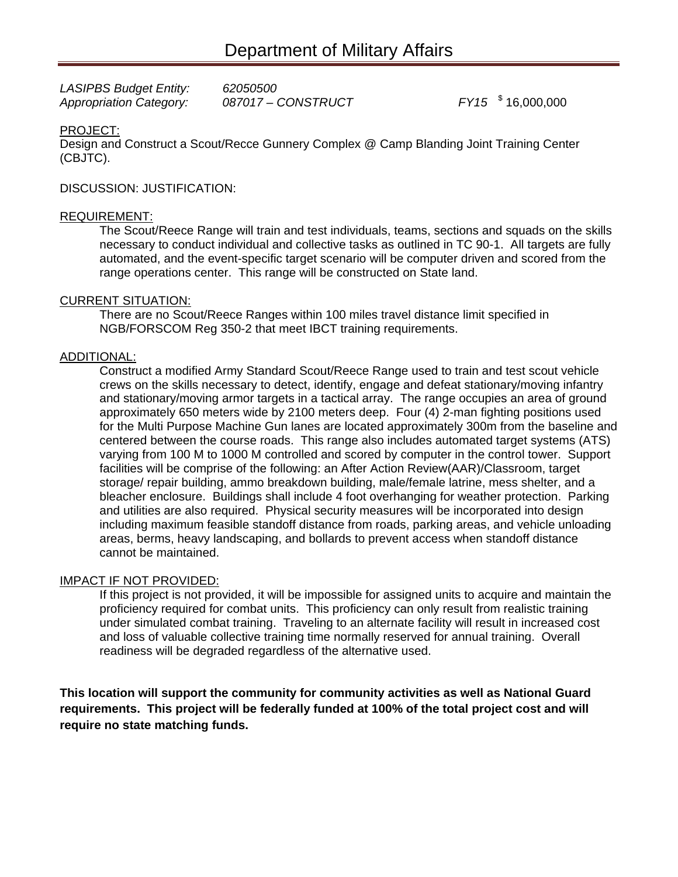| <b>LASIPBS Budget Entity:</b>  | 62050500           |                      |
|--------------------------------|--------------------|----------------------|
| <b>Appropriation Category:</b> | 087017 - CONSTRUCT | $FY15$ $\frac{1}{2}$ |

 $FY15$  \$16,000,000

### PROJECT:

Design and Construct a Scout/Recce Gunnery Complex @ Camp Blanding Joint Training Center (CBJTC).

### DISCUSSION: JUSTIFICATION:

### REQUIREMENT:

The Scout/Reece Range will train and test individuals, teams, sections and squads on the skills necessary to conduct individual and collective tasks as outlined in TC 90-1. All targets are fully automated, and the event-specific target scenario will be computer driven and scored from the range operations center. This range will be constructed on State land.

### CURRENT SITUATION:

There are no Scout/Reece Ranges within 100 miles travel distance limit specified in NGB/FORSCOM Reg 350-2 that meet IBCT training requirements.

### ADDITIONAL:

Construct a modified Army Standard Scout/Reece Range used to train and test scout vehicle crews on the skills necessary to detect, identify, engage and defeat stationary/moving infantry and stationary/moving armor targets in a tactical array. The range occupies an area of ground approximately 650 meters wide by 2100 meters deep. Four (4) 2-man fighting positions used for the Multi Purpose Machine Gun lanes are located approximately 300m from the baseline and centered between the course roads. This range also includes automated target systems (ATS) varying from 100 M to 1000 M controlled and scored by computer in the control tower. Support facilities will be comprise of the following: an After Action Review(AAR)/Classroom, target storage/ repair building, ammo breakdown building, male/female latrine, mess shelter, and a bleacher enclosure. Buildings shall include 4 foot overhanging for weather protection. Parking and utilities are also required. Physical security measures will be incorporated into design including maximum feasible standoff distance from roads, parking areas, and vehicle unloading areas, berms, heavy landscaping, and bollards to prevent access when standoff distance cannot be maintained.

### IMPACT IF NOT PROVIDED:

If this project is not provided, it will be impossible for assigned units to acquire and maintain the proficiency required for combat units. This proficiency can only result from realistic training under simulated combat training. Traveling to an alternate facility will result in increased cost and loss of valuable collective training time normally reserved for annual training. Overall readiness will be degraded regardless of the alternative used.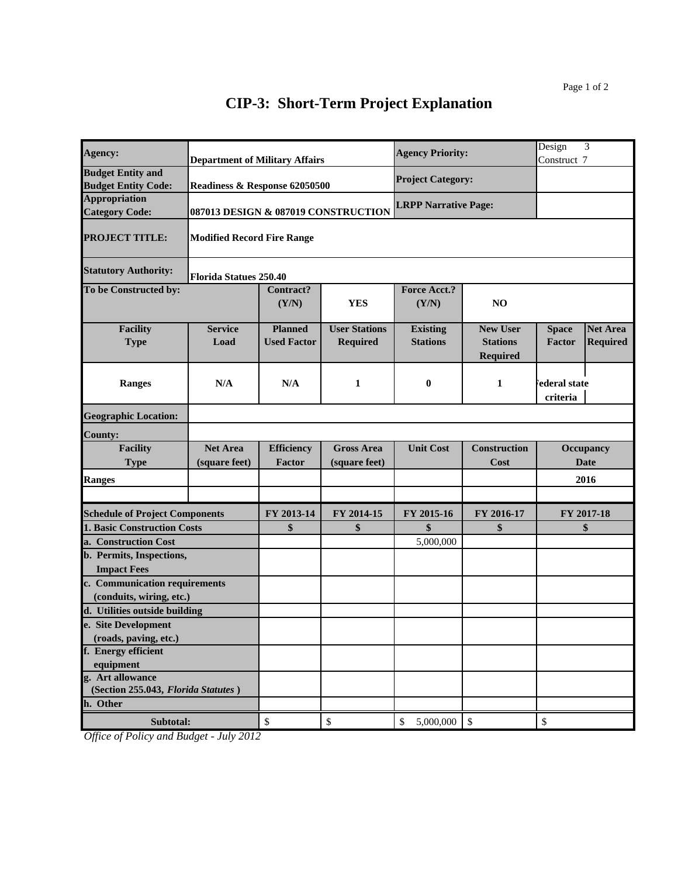| Agency:                                                 | <b>Department of Military Affairs</b> |                    |                                     | <b>Agency Priority:</b>     |                                    | Design<br>Construct 7    | 3               |
|---------------------------------------------------------|---------------------------------------|--------------------|-------------------------------------|-----------------------------|------------------------------------|--------------------------|-----------------|
| <b>Budget Entity and</b><br><b>Budget Entity Code:</b>  | Readiness & Response 62050500         |                    |                                     | <b>Project Category:</b>    |                                    |                          |                 |
| <b>Appropriation</b><br><b>Category Code:</b>           |                                       |                    | 087013 DESIGN & 087019 CONSTRUCTION | <b>LRPP Narrative Page:</b> |                                    |                          |                 |
| <b>PROJECT TITLE:</b>                                   | <b>Modified Record Fire Range</b>     |                    |                                     |                             |                                    |                          |                 |
| <b>Statutory Authority:</b>                             | <b>Florida Statues 250.40</b>         |                    |                                     |                             |                                    |                          |                 |
| To be Constructed by:                                   |                                       | Contract?<br>(Y/N) | <b>YES</b>                          | Force Acct.?<br>(Y/N)       | NO                                 |                          |                 |
| <b>Facility</b>                                         | <b>Service</b>                        | <b>Planned</b>     | <b>User Stations</b>                | <b>Existing</b>             | <b>New User</b>                    | <b>Space</b>             | <b>Net Area</b> |
| <b>Type</b>                                             | Load                                  | <b>Used Factor</b> | <b>Required</b>                     | <b>Stations</b>             | <b>Stations</b><br><b>Required</b> | Factor                   | <b>Required</b> |
| Ranges                                                  | N/A                                   | N/A                | 1                                   | $\bf{0}$                    | 1                                  | ederal state<br>criteria |                 |
| <b>Geographic Location:</b>                             |                                       |                    |                                     |                             |                                    |                          |                 |
| <b>County:</b>                                          |                                       |                    |                                     |                             |                                    |                          |                 |
| <b>Facility</b>                                         | <b>Net Area</b>                       | <b>Efficiency</b>  | <b>Gross Area</b>                   | <b>Unit Cost</b>            | <b>Construction</b>                |                          | Occupancy       |
| <b>Type</b>                                             | (square feet)                         | <b>Factor</b>      | (square feet)                       |                             | Cost                               |                          | <b>Date</b>     |
| <b>Ranges</b>                                           |                                       |                    |                                     |                             |                                    |                          | 2016            |
|                                                         |                                       |                    |                                     |                             |                                    |                          |                 |
| <b>Schedule of Project Components</b>                   |                                       | FY 2013-14         | FY 2014-15                          | FY 2015-16                  | FY 2016-17                         |                          | FY 2017-18      |
| <b>1. Basic Construction Costs</b>                      |                                       | \$                 | \$                                  | \$                          | \$                                 |                          | \$              |
| a. Construction Cost                                    |                                       |                    |                                     | 5,000,000                   |                                    |                          |                 |
| b. Permits, Inspections,<br><b>Impact Fees</b>          |                                       |                    |                                     |                             |                                    |                          |                 |
| c. Communication requirements                           |                                       |                    |                                     |                             |                                    |                          |                 |
| (conduits, wiring, etc.)                                |                                       |                    |                                     |                             |                                    |                          |                 |
| d. Utilities outside building                           |                                       |                    |                                     |                             |                                    |                          |                 |
| e. Site Development                                     |                                       |                    |                                     |                             |                                    |                          |                 |
| (roads, paving, etc.)                                   |                                       |                    |                                     |                             |                                    |                          |                 |
| f. Energy efficient                                     |                                       |                    |                                     |                             |                                    |                          |                 |
| equipment                                               |                                       |                    |                                     |                             |                                    |                          |                 |
| g. Art allowance<br>(Section 255.043, Florida Statutes) |                                       |                    |                                     |                             |                                    |                          |                 |
| h. Other                                                |                                       |                    |                                     |                             |                                    |                          |                 |
| Subtotal:                                               |                                       | \$                 | \$                                  | \$<br>5,000,000             | $\sqrt{3}$                         | \$                       |                 |
|                                                         |                                       |                    |                                     |                             |                                    |                          |                 |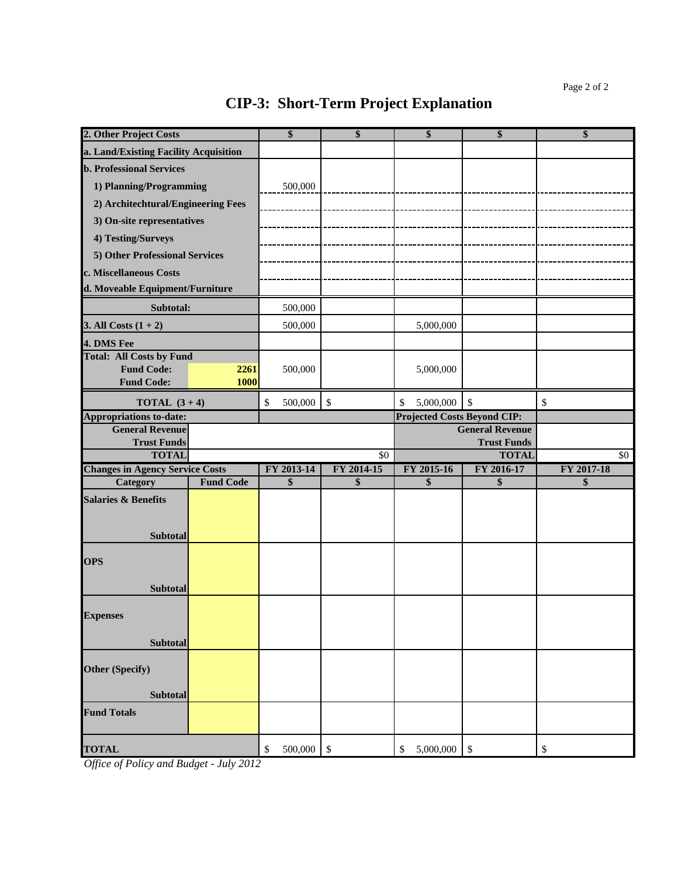| 2. Other Project Costs                                   |                  | \$            | \$                        | \$                                 | \$                        | \$                        |
|----------------------------------------------------------|------------------|---------------|---------------------------|------------------------------------|---------------------------|---------------------------|
| a. Land/Existing Facility Acquisition                    |                  |               |                           |                                    |                           |                           |
| <b>b. Professional Services</b>                          |                  |               |                           |                                    |                           |                           |
| 1) Planning/Programming                                  |                  | 500,000       |                           |                                    |                           |                           |
| 2) Architechtural/Engineering Fees                       |                  |               |                           |                                    |                           |                           |
| 3) On-site representatives                               |                  |               |                           |                                    |                           |                           |
| 4) Testing/Surveys                                       |                  |               |                           |                                    |                           |                           |
| 5) Other Professional Services                           |                  |               |                           |                                    |                           |                           |
| c. Miscellaneous Costs                                   |                  |               |                           |                                    |                           |                           |
| d. Moveable Equipment/Furniture                          |                  |               |                           |                                    |                           |                           |
| Subtotal:                                                |                  | 500,000       |                           |                                    |                           |                           |
| 3. All Costs $(1 + 2)$                                   |                  | 500,000       |                           | 5,000,000                          |                           |                           |
| 4. DMS Fee                                               |                  |               |                           |                                    |                           |                           |
| <b>Total: All Costs by Fund</b>                          |                  |               |                           |                                    |                           |                           |
| <b>Fund Code:</b>                                        | 2261             | 500,000       |                           | 5,000,000                          |                           |                           |
| <b>Fund Code:</b>                                        | 1000             |               |                           |                                    |                           |                           |
| <b>TOTAL</b> $(3+4)$                                     |                  | 500,000<br>\$ | $\boldsymbol{\mathsf{S}}$ | 5,000,000<br>\$                    | $\mathcal{S}$             | $\boldsymbol{\mathsf{S}}$ |
| <b>Appropriations to-date:</b><br><b>General Revenue</b> |                  |               |                           | <b>Projected Costs Beyond CIP:</b> | <b>General Revenue</b>    |                           |
| <b>Trust Funds</b>                                       |                  |               |                           |                                    | <b>Trust Funds</b>        |                           |
|                                                          |                  |               |                           |                                    |                           |                           |
| <b>TOTAL</b>                                             |                  |               | \$0                       |                                    | <b>TOTAL</b>              | \$0                       |
| <b>Changes in Agency Service Costs</b>                   |                  | FY 2013-14    | FY 2014-15                | FY 2015-16                         | FY 2016-17                | FY 2017-18                |
| Category                                                 | <b>Fund Code</b> | \$            | \$                        | \$                                 | \$                        | \$                        |
| <b>Salaries &amp; Benefits</b>                           |                  |               |                           |                                    |                           |                           |
|                                                          |                  |               |                           |                                    |                           |                           |
| <b>Subtotal</b>                                          |                  |               |                           |                                    |                           |                           |
|                                                          |                  |               |                           |                                    |                           |                           |
| <b>OPS</b>                                               |                  |               |                           |                                    |                           |                           |
| <b>Subtotal</b>                                          |                  |               |                           |                                    |                           |                           |
|                                                          |                  |               |                           |                                    |                           |                           |
| <b>Expenses</b>                                          |                  |               |                           |                                    |                           |                           |
|                                                          |                  |               |                           |                                    |                           |                           |
| <b>Subtotal</b>                                          |                  |               |                           |                                    |                           |                           |
| <b>Other (Specify)</b>                                   |                  |               |                           |                                    |                           |                           |
|                                                          |                  |               |                           |                                    |                           |                           |
| <b>Subtotal</b>                                          |                  |               |                           |                                    |                           |                           |
| <b>Fund Totals</b>                                       |                  |               |                           |                                    |                           |                           |
| <b>TOTAL</b>                                             |                  | 500,000<br>\$ | $\boldsymbol{\mathsf{S}}$ | \$<br>5,000,000                    | $\boldsymbol{\mathsf{S}}$ | \$                        |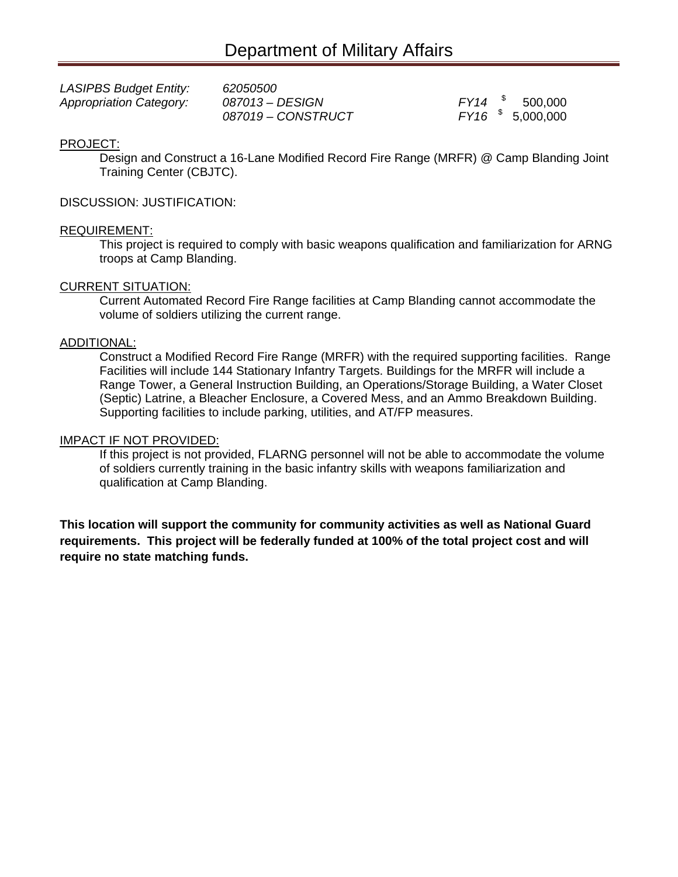| <b>LASIPBS Budget Entity:</b>  | 62050500           |                      |
|--------------------------------|--------------------|----------------------|
| <b>Appropriation Category:</b> | 087013 - DESIGN    | $FY14$ $$500,000$    |
|                                | 087019 - CONSTRUCT | $FY16$ $$$ 5,000,000 |

### PROJECT:

Design and Construct a 16-Lane Modified Record Fire Range (MRFR) @ Camp Blanding Joint Training Center (CBJTC).

### DISCUSSION: JUSTIFICATION:

### REQUIREMENT:

This project is required to comply with basic weapons qualification and familiarization for ARNG troops at Camp Blanding.

### CURRENT SITUATION:

Current Automated Record Fire Range facilities at Camp Blanding cannot accommodate the volume of soldiers utilizing the current range.

### ADDITIONAL:

Construct a Modified Record Fire Range (MRFR) with the required supporting facilities. Range Facilities will include 144 Stationary Infantry Targets. Buildings for the MRFR will include a Range Tower, a General Instruction Building, an Operations/Storage Building, a Water Closet (Septic) Latrine, a Bleacher Enclosure, a Covered Mess, and an Ammo Breakdown Building. Supporting facilities to include parking, utilities, and AT/FP measures.

#### IMPACT IF NOT PROVIDED:

If this project is not provided, FLARNG personnel will not be able to accommodate the volume of soldiers currently training in the basic infantry skills with weapons familiarization and qualification at Camp Blanding.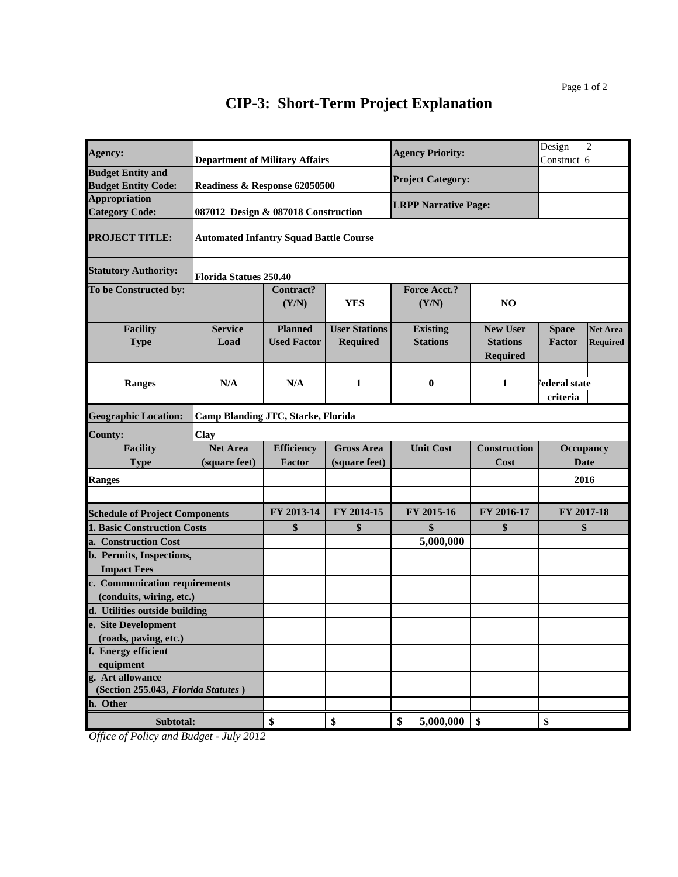|                                                           |                                                                                                               |                                         | <b>Agency Priority:</b>                                                                                                                                                                                           |                                                       | Design<br>Construct 6                        | $\overline{2}$                     |
|-----------------------------------------------------------|---------------------------------------------------------------------------------------------------------------|-----------------------------------------|-------------------------------------------------------------------------------------------------------------------------------------------------------------------------------------------------------------------|-------------------------------------------------------|----------------------------------------------|------------------------------------|
|                                                           |                                                                                                               |                                         | <b>Project Category:</b>                                                                                                                                                                                          |                                                       |                                              |                                    |
|                                                           |                                                                                                               |                                         |                                                                                                                                                                                                                   |                                                       |                                              |                                    |
|                                                           |                                                                                                               |                                         |                                                                                                                                                                                                                   |                                                       |                                              |                                    |
|                                                           |                                                                                                               |                                         |                                                                                                                                                                                                                   |                                                       |                                              |                                    |
|                                                           | <b>Contract?</b><br>(Y/N)                                                                                     | <b>YES</b>                              | <b>Force Acct.?</b><br>(Y/N)                                                                                                                                                                                      | NO                                                    |                                              |                                    |
| <b>Service</b><br>Load                                    | <b>Planned</b><br><b>Used Factor</b>                                                                          | <b>User Stations</b><br><b>Required</b> | <b>Existing</b><br><b>Stations</b>                                                                                                                                                                                | <b>New User</b><br><b>Stations</b><br><b>Required</b> | <b>Space</b><br>Factor                       | <b>Net Area</b><br><b>Required</b> |
| N/A                                                       | N/A                                                                                                           | $\mathbf{1}$                            | $\bf{0}$                                                                                                                                                                                                          | 1                                                     | ederal state<br>criteria                     |                                    |
|                                                           |                                                                                                               |                                         |                                                                                                                                                                                                                   |                                                       |                                              |                                    |
| Clay                                                      |                                                                                                               |                                         |                                                                                                                                                                                                                   |                                                       |                                              |                                    |
| <b>Net Area</b><br>(square feet)                          | <b>Efficiency</b><br><b>Factor</b>                                                                            | <b>Gross Area</b><br>(square feet)      | <b>Unit Cost</b>                                                                                                                                                                                                  | <b>Construction</b><br>Cost                           | Occupancy<br><b>Date</b>                     |                                    |
|                                                           |                                                                                                               |                                         |                                                                                                                                                                                                                   |                                                       | 2016                                         |                                    |
|                                                           |                                                                                                               |                                         |                                                                                                                                                                                                                   |                                                       |                                              |                                    |
|                                                           | FY 2013-14                                                                                                    | FY 2014-15                              | FY 2015-16                                                                                                                                                                                                        | FY 2016-17                                            | FY 2017-18                                   |                                    |
| <b>1. Basic Construction Costs</b>                        | \$                                                                                                            | \$                                      | \$                                                                                                                                                                                                                | \$                                                    | \$                                           |                                    |
|                                                           |                                                                                                               |                                         | 5,000,000                                                                                                                                                                                                         |                                                       |                                              |                                    |
|                                                           |                                                                                                               |                                         |                                                                                                                                                                                                                   |                                                       |                                              |                                    |
| c. Communication requirements<br>(conduits, wiring, etc.) |                                                                                                               |                                         |                                                                                                                                                                                                                   |                                                       |                                              |                                    |
|                                                           |                                                                                                               |                                         |                                                                                                                                                                                                                   |                                                       |                                              |                                    |
|                                                           |                                                                                                               |                                         |                                                                                                                                                                                                                   |                                                       |                                              |                                    |
|                                                           |                                                                                                               |                                         |                                                                                                                                                                                                                   |                                                       |                                              |                                    |
|                                                           |                                                                                                               |                                         |                                                                                                                                                                                                                   |                                                       |                                              |                                    |
|                                                           |                                                                                                               |                                         |                                                                                                                                                                                                                   |                                                       |                                              |                                    |
|                                                           |                                                                                                               |                                         |                                                                                                                                                                                                                   |                                                       |                                              |                                    |
|                                                           |                                                                                                               |                                         |                                                                                                                                                                                                                   |                                                       |                                              |                                    |
| Subtotal:                                                 |                                                                                                               |                                         |                                                                                                                                                                                                                   |                                                       |                                              |                                    |
|                                                           | <b>Schedule of Project Components</b><br>d. Utilities outside building<br>(Section 255.043, Florida Statutes) | Florida Statues 250.40<br>\$            | <b>Department of Military Affairs</b><br>Readiness & Response 62050500<br>087012 Design & 087018 Construction<br><b>Automated Infantry Squad Battle Course</b><br><b>Camp Blanding JTC, Starke, Florida</b><br>\$ | \$<br>5,000,000                                       | <b>LRPP Narrative Page:</b><br>$\frac{1}{2}$ | \$                                 |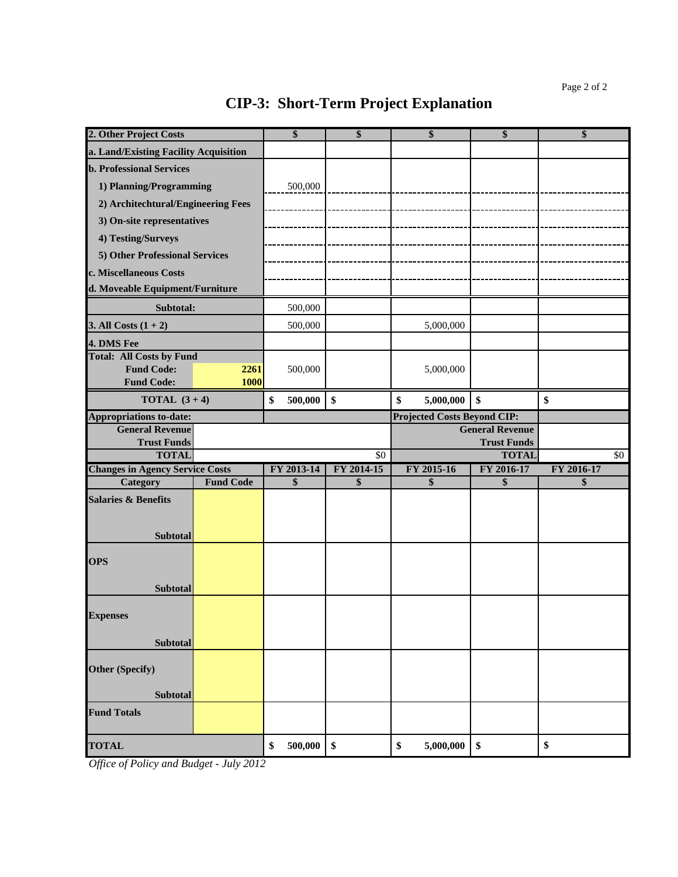| 2. Other Project Costs                       |                  | \$            | \$         | \$                                 | \$                                           | \$         |
|----------------------------------------------|------------------|---------------|------------|------------------------------------|----------------------------------------------|------------|
| a. Land/Existing Facility Acquisition        |                  |               |            |                                    |                                              |            |
| <b>b. Professional Services</b>              |                  |               |            |                                    |                                              |            |
| 1) Planning/Programming                      |                  | 500,000       |            |                                    |                                              |            |
| 2) Architechtural/Engineering Fees           |                  |               |            |                                    |                                              |            |
| 3) On-site representatives                   |                  |               |            |                                    |                                              |            |
| 4) Testing/Surveys                           |                  |               |            |                                    |                                              |            |
| 5) Other Professional Services               |                  |               |            |                                    |                                              |            |
| c. Miscellaneous Costs                       |                  |               |            |                                    |                                              |            |
| d. Moveable Equipment/Furniture              |                  |               |            |                                    |                                              |            |
| Subtotal:                                    |                  | 500,000       |            |                                    |                                              |            |
| 3. All Costs $(1 + 2)$                       |                  | 500,000       |            | 5,000,000                          |                                              |            |
| 4. DMS Fee                                   |                  |               |            |                                    |                                              |            |
| <b>Total: All Costs by Fund</b>              |                  |               |            |                                    |                                              |            |
| <b>Fund Code:</b>                            | 2261             | 500,000       |            | 5,000,000                          |                                              |            |
| <b>Fund Code:</b>                            | <b>1000</b>      |               |            |                                    |                                              |            |
| <b>TOTAL</b> $(3+4)$                         |                  | \$<br>500,000 | \$         | \$<br>5,000,000                    | \$                                           | \$         |
| <b>Appropriations to-date:</b>               |                  |               |            | <b>Projected Costs Beyond CIP:</b> |                                              |            |
| <b>General Revenue</b><br><b>Trust Funds</b> |                  |               |            |                                    | <b>General Revenue</b><br><b>Trust Funds</b> |            |
|                                              |                  |               |            |                                    |                                              |            |
| <b>TOTAL</b>                                 |                  |               | \$0        |                                    | <b>TOTAL</b>                                 | \$0        |
| <b>Changes in Agency Service Costs</b>       |                  | FY 2013-14    | FY 2014-15 | FY 2015-16                         | FY 2016-17                                   | FY 2016-17 |
| Category                                     | <b>Fund Code</b> | \$            | \$         | \$                                 | \$                                           | \$         |
| <b>Salaries &amp; Benefits</b>               |                  |               |            |                                    |                                              |            |
|                                              |                  |               |            |                                    |                                              |            |
| <b>Subtotal</b>                              |                  |               |            |                                    |                                              |            |
|                                              |                  |               |            |                                    |                                              |            |
| <b>OPS</b>                                   |                  |               |            |                                    |                                              |            |
| <b>Subtotal</b>                              |                  |               |            |                                    |                                              |            |
|                                              |                  |               |            |                                    |                                              |            |
| <b>Expenses</b>                              |                  |               |            |                                    |                                              |            |
|                                              |                  |               |            |                                    |                                              |            |
| Subtotal                                     |                  |               |            |                                    |                                              |            |
| Other (Specify)                              |                  |               |            |                                    |                                              |            |
|                                              |                  |               |            |                                    |                                              |            |
| <b>Subtotal</b>                              |                  |               |            |                                    |                                              |            |
| <b>Fund Totals</b>                           |                  |               |            |                                    |                                              |            |
| <b>TOTAL</b>                                 |                  | 500,000<br>\$ | \$         | \$<br>5,000,000                    | \$                                           | \$         |